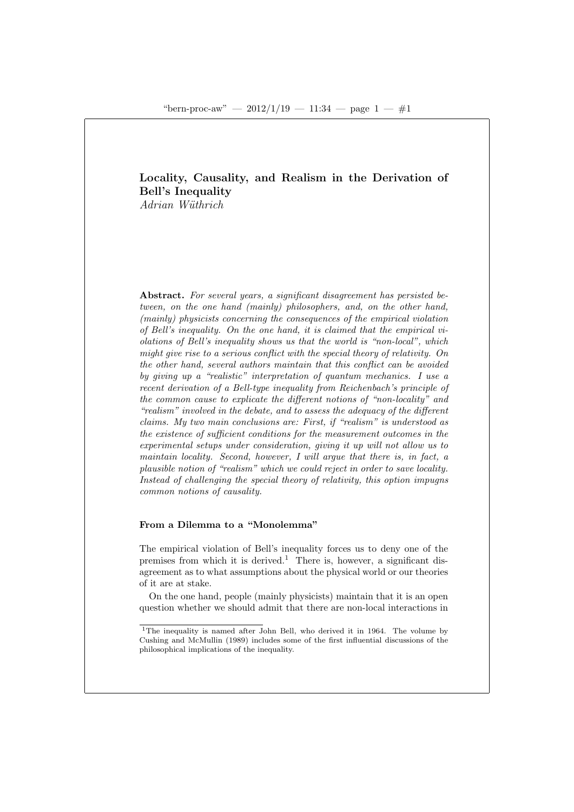# Locality, Causality, and Realism in the Derivation of Bell's Inequality

Adrian Wüthrich

Abstract. For several years, a significant disagreement has persisted between, on the one hand (mainly) philosophers, and, on the other hand, (mainly) physicists concerning the consequences of the empirical violation of Bell's inequality. On the one hand, it is claimed that the empirical violations of Bell's inequality shows us that the world is "non-local", which might give rise to a serious conflict with the special theory of relativity. On the other hand, several authors maintain that this conflict can be avoided by giving up a "realistic" interpretation of quantum mechanics. I use a recent derivation of a Bell-type inequality from Reichenbach's principle of the common cause to explicate the different notions of "non-locality" and "realism" involved in the debate, and to assess the adequacy of the different claims. My two main conclusions are: First, if "realism" is understood as the existence of sufficient conditions for the measurement outcomes in the experimental setups under consideration, giving it up will not allow us to maintain locality. Second, however, I will argue that there is, in fact, a plausible notion of "realism" which we could reject in order to save locality. Instead of challenging the special theory of relativity, this option impugns common notions of causality.

## From a Dilemma to a "Monolemma"

The empirical violation of Bell's inequality forces us to deny one of the premises from which it is derived.<sup>1</sup> There is, however, a significant disagreement as to what assumptions about the physical world or our theories of it are at stake.

On the one hand, people (mainly physicists) maintain that it is an open question whether we should admit that there are non-local interactions in

<sup>&</sup>lt;sup>1</sup>The inequality is named after John Bell, who derived it in 1964. The volume by Cushing and McMullin (1989) includes some of the first influential discussions of the philosophical implications of the inequality.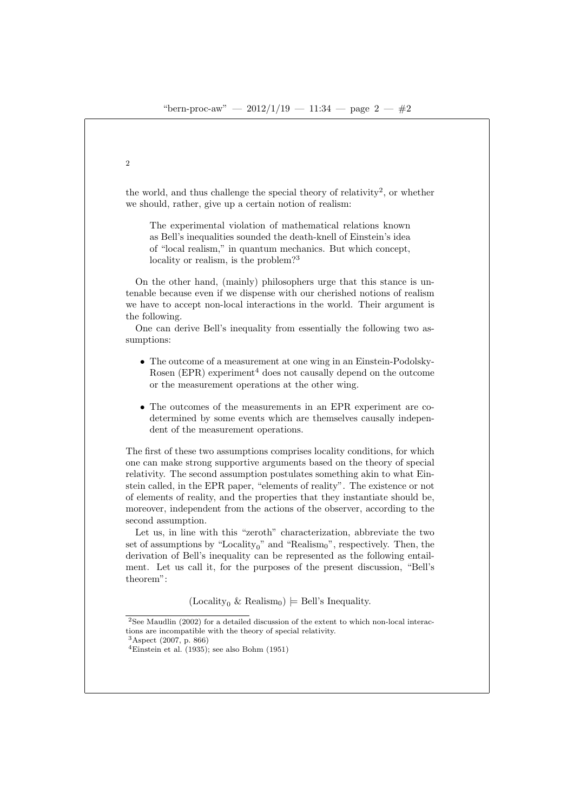the world, and thus challenge the special theory of relativity<sup>2</sup>, or whether we should, rather, give up a certain notion of realism:

The experimental violation of mathematical relations known as Bell's inequalities sounded the death-knell of Einstein's idea of "local realism," in quantum mechanics. But which concept, locality or realism, is the problem?<sup>3</sup>

On the other hand, (mainly) philosophers urge that this stance is untenable because even if we dispense with our cherished notions of realism we have to accept non-local interactions in the world. Their argument is the following.

One can derive Bell's inequality from essentially the following two assumptions:

- The outcome of a measurement at one wing in an Einstein-Podolsky-Rosen (EPR) experiment<sup>4</sup> does not causally depend on the outcome or the measurement operations at the other wing.
- The outcomes of the measurements in an EPR experiment are codetermined by some events which are themselves causally independent of the measurement operations.

The first of these two assumptions comprises locality conditions, for which one can make strong supportive arguments based on the theory of special relativity. The second assumption postulates something akin to what Einstein called, in the EPR paper, "elements of reality". The existence or not of elements of reality, and the properties that they instantiate should be, moreover, independent from the actions of the observer, according to the second assumption.

Let us, in line with this "zeroth" characterization, abbreviate the two set of assumptions by "Locality<sub>0</sub>" and "Realism<sub>0</sub>", respectively. Then, the derivation of Bell's inequality can be represented as the following entailment. Let us call it, for the purposes of the present discussion, "Bell's theorem":

(Locality<sub>0</sub> & Realism<sub>0</sub>)  $\models$  Bell's Inequality.

<sup>3</sup>Aspect (2007, p. 866)

 $2$ See Maudlin (2002) for a detailed discussion of the extent to which non-local interactions are incompatible with the theory of special relativity.

<sup>&</sup>lt;sup>4</sup>Einstein et al.  $(1935)$ ; see also Bohm  $(1951)$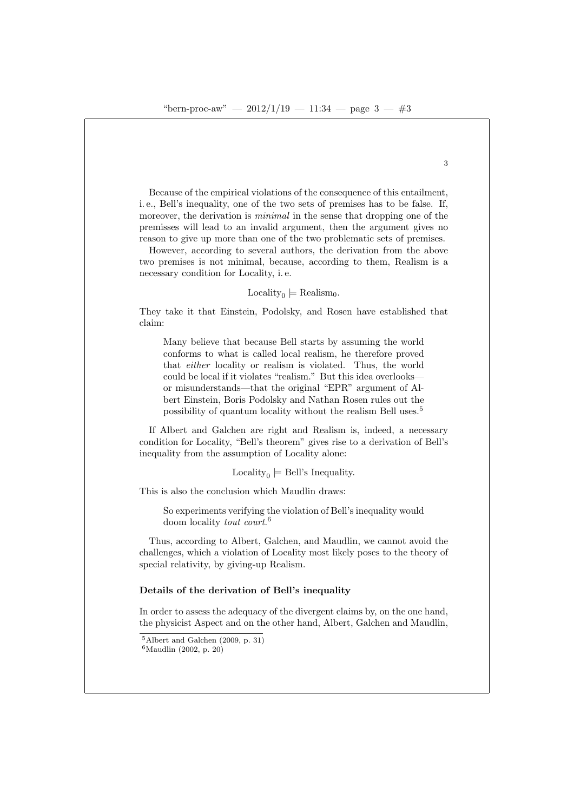Because of the empirical violations of the consequence of this entailment, i. e., Bell's inequality, one of the two sets of premises has to be false. If, moreover, the derivation is *minimal* in the sense that dropping one of the premisses will lead to an invalid argument, then the argument gives no reason to give up more than one of the two problematic sets of premises.

However, according to several authors, the derivation from the above two premises is not minimal, because, according to them, Realism is a necessary condition for Locality, i. e.

Locality<sub>0</sub>  $\models$  Realism<sub>0</sub>.

They take it that Einstein, Podolsky, and Rosen have established that claim:

Many believe that because Bell starts by assuming the world conforms to what is called local realism, he therefore proved that either locality or realism is violated. Thus, the world could be local if it violates "realism." But this idea overlooks or misunderstands—that the original "EPR" argument of Albert Einstein, Boris Podolsky and Nathan Rosen rules out the possibility of quantum locality without the realism Bell uses.<sup>5</sup>

If Albert and Galchen are right and Realism is, indeed, a necessary condition for Locality, "Bell's theorem" gives rise to a derivation of Bell's inequality from the assumption of Locality alone:

Locality<sub>0</sub>  $\models$  Bell's Inequality.

This is also the conclusion which Maudlin draws:

So experiments verifying the violation of Bell's inequality would doom locality *tout court.*<sup>6</sup>

Thus, according to Albert, Galchen, and Maudlin, we cannot avoid the challenges, which a violation of Locality most likely poses to the theory of special relativity, by giving-up Realism.

#### Details of the derivation of Bell's inequality

In order to assess the adequacy of the divergent claims by, on the one hand, the physicist Aspect and on the other hand, Albert, Galchen and Maudlin,

<sup>5</sup>Albert and Galchen (2009, p. 31)  ${}^{6}$ Maudlin (2002, p. 20)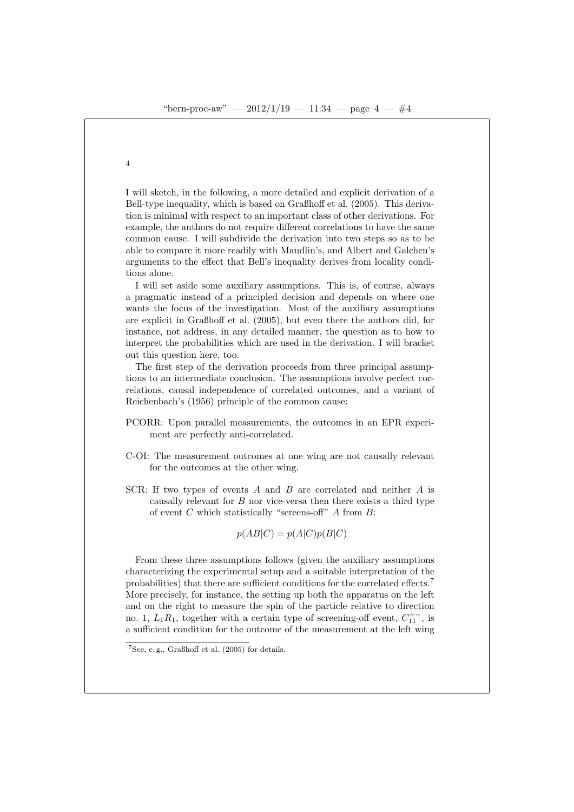I will sketch, in the following, a more detailed and explicit derivation of a Bell-type inequality, which is based on Graßhoff et al. (2005). This derivation is minimal with respect to an important class of other derivations. For example, the authors do not require different correlations to have the same common cause. I will subdivide the derivation into two steps so as to be able to compare it more readily with Maudlin's, and Albert and Galchen's arguments to the effect that Bell's inequality derives from locality conditions alone.

I will set aside some auxiliary assumptions. This is, of course, always a pragmatic instead of a principled decision and depends on where one wants the focus of the investigation. Most of the auxiliary assumptions are explicit in Graßhoff et al. (2005), but even there the authors did, for instance, not address, in any detailed manner, the question as to how to interpret the probabilities which are used in the derivation. I will bracket out this question here, too.

The first step of the derivation proceeds from three principal assumptions to an intermediate conclusion. The assumptions involve perfect correlations, causal independence of correlated outcomes, and a variant of Reichenbach's (1956) principle of the common cause:

- PCORR: Upon parallel measurements, the outcomes in an EPR experiment are perfectly anti-correlated.
- C-OI: The measurement outcomes at one wing are not causally relevant for the outcomes at the other wing.
- SCR: If two types of events A and B are correlated and neither A is causally relevant for  $B$  nor vice-versa then there exists a third type of event  $C$  which statistically "screens-off"  $A$  from  $B$ :

$$
p(AB|C) = p(A|C)p(B|C)
$$

From these three assumptions follows (given the auxiliary assumptions characterizing the experimental setup and a suitable interpretation of the probabilities) that there are sufficient conditions for the correlated effects.<sup>7</sup> More precisely, for instance, the setting up both the apparatus on the left and on the right to measure the spin of the particle relative to direction no. 1,  $L_1R_1$ , together with a certain type of screening-off event,  $C_{11}^{+-}$ , is a sufficient condition for the outcome of the measurement at the left wing

<sup>7</sup>See, e. g., Graßhoff et al. (2005) for details.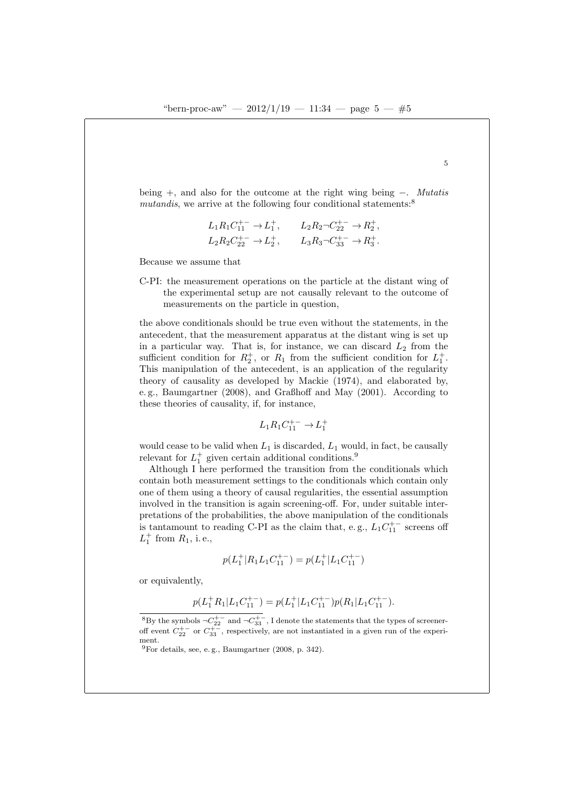being +, and also for the outcome at the right wing being −. Mutatis mutandis, we arrive at the following four conditional statements: $8$ 

$$
\begin{aligned} &L_1R_1C_{11}^{+-}\rightarrow L_1^+,\qquad L_2R_2 \neg C_{22}^{+-}\rightarrow R_2^+,\cr &L_2R_2C_{22}^{+-}\rightarrow L_2^+,\qquad L_3R_3 \neg C_{33}^{+-}\rightarrow R_3^+.\end{aligned}
$$

Because we assume that

C-PI: the measurement operations on the particle at the distant wing of the experimental setup are not causally relevant to the outcome of measurements on the particle in question,

the above conditionals should be true even without the statements, in the antecedent, that the measurement apparatus at the distant wing is set up in a particular way. That is, for instance, we can discard  $L_2$  from the sufficient condition for  $R_2^+$ , or  $R_1$  from the sufficient condition for  $L_1^+$ . This manipulation of the antecedent, is an application of the regularity theory of causality as developed by Mackie (1974), and elaborated by, e. g., Baumgartner (2008), and Graßhoff and May (2001). According to these theories of causality, if, for instance,

$$
L_1 R_1 C_{11}^{+-} \to L_1^+
$$

would cease to be valid when  $L_1$  is discarded,  $L_1$  would, in fact, be causally relevant for  $L_1^+$  given certain additional conditions.<sup>9</sup>

Although I here performed the transition from the conditionals which contain both measurement settings to the conditionals which contain only one of them using a theory of causal regularities, the essential assumption involved in the transition is again screening-off. For, under suitable interpretations of the probabilities, the above manipulation of the conditionals is tantamount to reading C-PI as the claim that, e.g.,  $L_1 C_{11}^{+-}$  screens off  $L_1^+$  from  $R_1$ , i.e.,

$$
p(L_1^+|R_1L_1C_{11}^{+-}) = p(L_1^+|L_1C_{11}^{+-})
$$

or equivalently,

$$
p(L_1^+R_1|L_1C_{11}^{+-}) = p(L_1^+|L_1C_{11}^{+-})p(R_1|L_1C_{11}^{+-}).
$$

<sup>&</sup>lt;sup>8</sup>By the symbols  $\neg C_{22}^{+-}$  and  $\neg C_{33}^{+-}$ , I denote the statements that the types of screeneroff event  $C_{22}^{+-}$  or  $C_{33}^{+-}$ , respectively, are not instantiated in a given run of the experiment.

 $^{9}$ For details, see, e.g., Baumgartner (2008, p. 342).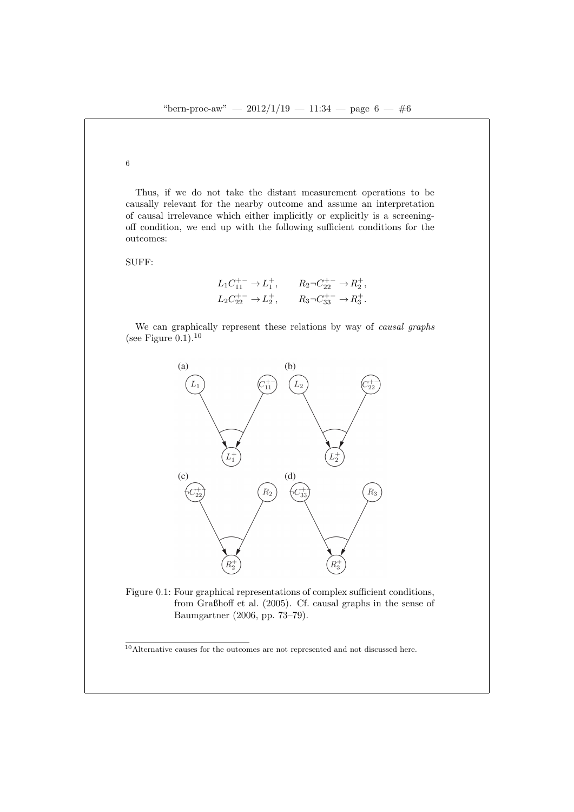Thus, if we do not take the distant measurement operations to be causally relevant for the nearby outcome and assume an interpretation of causal irrelevance which either implicitly or explicitly is a screeningoff condition, we end up with the following sufficient conditions for the outcomes:

SUFF:

$$
L_1C_{11}^{+-} \to L_1^+, \qquad R_2 \neg C_{22}^{+-} \to R_2^+, L_2C_{22}^{+-} \to L_2^+, \qquad R_3 \neg C_{33}^{+-} \to R_3^+.
$$

We can graphically represent these relations by way of *causal graphs* (see Figure  $0.1$ ).<sup>10</sup>



Figure 0.1: Four graphical representations of complex sufficient conditions, from Graßhoff et al. (2005). Cf. causal graphs in the sense of Baumgartner (2006, pp. 73–79).

 $10$  Alternative causes for the outcomes are not represented and not discussed here.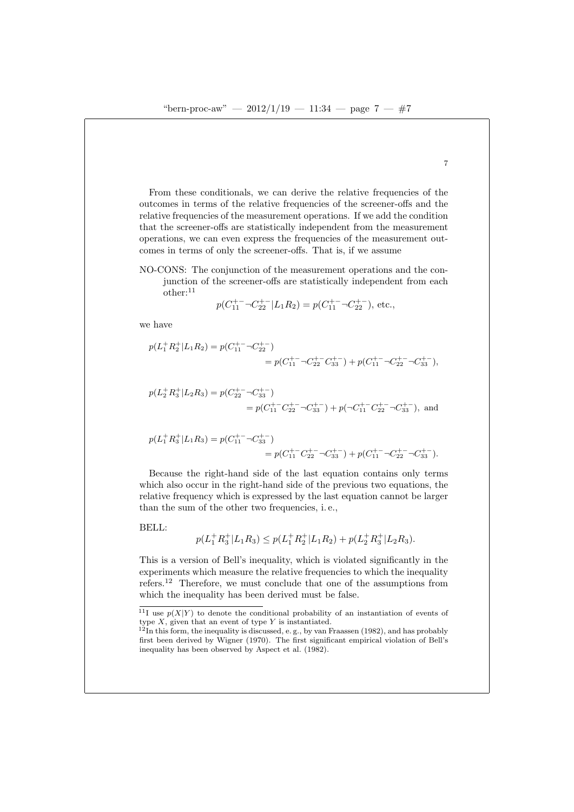From these conditionals, we can derive the relative frequencies of the outcomes in terms of the relative frequencies of the screener-offs and the relative frequencies of the measurement operations. If we add the condition that the screener-offs are statistically independent from the measurement operations, we can even express the frequencies of the measurement outcomes in terms of only the screener-offs. That is, if we assume

NO-CONS: The conjunction of the measurement operations and the conjunction of the screener-offs are statistically independent from each other:<sup>11</sup>

$$
p(C_{11}^{+-} \neg C_{22}^{+-} | L_1 R_2) = p(C_{11}^{+-} \neg C_{22}^{+-}), \text{ etc.},
$$

we have

$$
p(L_1^+ R_2^+ | L_1 R_2) = p(C_{11}^{+-} \neg C_{22}^{+-})
$$
  
=  $p(C_{11}^{+-} \neg C_{22}^{+-} C_{33}^{+-}) + p(C_{11}^{+-} \neg C_{22}^{+-} \neg C_{33}^{+-}),$ 

$$
p(L_2^+ R_3^+ | L_2 R_3) = p(C_{22}^{+-} \neg C_{33}^{+-})
$$
  
=  $p(C_{11}^{+-} C_{22}^{+-} \neg C_{33}^{+-}) + p(\neg C_{11}^{+-} C_{22}^{+-} \neg C_{33}^{+-}),$  and

$$
p(L_1^+ R_3^+ | L_1 R_3) = p(C_{11}^{+-} \neg C_{33}^{+-})
$$
  
=  $p(C_{11}^{+-} C_{22}^{+-} \neg C_{33}^{+-}) + p(C_{11}^{+-} \neg C_{22}^{+-} \neg C_{33}^{+-}).$ 

Because the right-hand side of the last equation contains only terms which also occur in the right-hand side of the previous two equations, the relative frequency which is expressed by the last equation cannot be larger than the sum of the other two frequencies, i. e.,

BELL:

$$
p(L_1^+ R_3^+ | L_1 R_3) \le p(L_1^+ R_2^+ | L_1 R_2) + p(L_2^+ R_3^+ | L_2 R_3).
$$

This is a version of Bell's inequality, which is violated significantly in the experiments which measure the relative frequencies to which the inequality refers.<sup>12</sup> Therefore, we must conclude that one of the assumptions from which the inequality has been derived must be false.

 $\frac{11}{11}$  use  $p(X|Y)$  to denote the conditional probability of an instantiation of events of type  $X$ , given that an event of type  $Y$  is instantiated.

 $12$ In this form, the inequality is discussed, e.g., by van Fraassen (1982), and has probably first been derived by Wigner (1970). The first significant empirical violation of Bell's inequality has been observed by Aspect et al. (1982).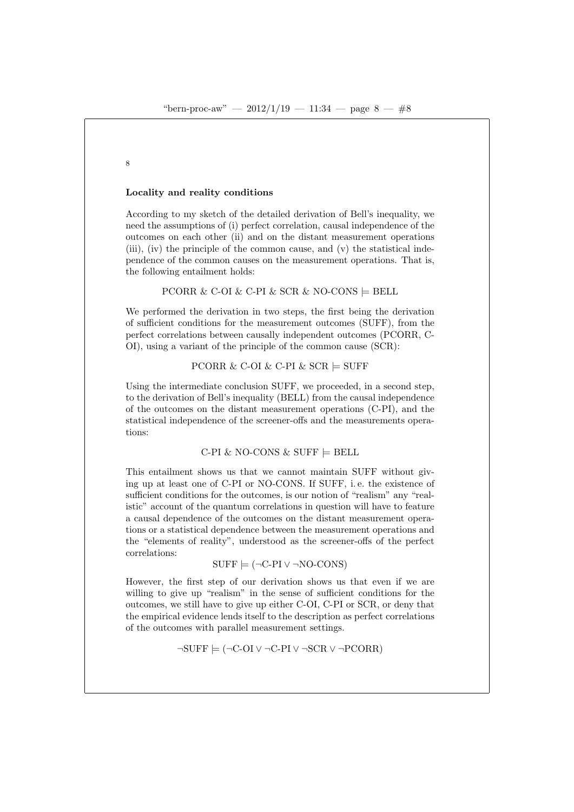8

## Locality and reality conditions

According to my sketch of the detailed derivation of Bell's inequality, we need the assumptions of (i) perfect correlation, causal independence of the outcomes on each other (ii) and on the distant measurement operations (iii), (iv) the principle of the common cause, and (v) the statistical independence of the common causes on the measurement operations. That is, the following entailment holds:

PCORR & C-OI & C-PI & SCR & NO-CONS  $\models$  BELL

We performed the derivation in two steps, the first being the derivation of sufficient conditions for the measurement outcomes (SUFF), from the perfect correlations between causally independent outcomes (PCORR, C-OI), using a variant of the principle of the common cause (SCR):

PCORR & C-OI & C-PI & SCR  $\models$  SUFF

Using the intermediate conclusion SUFF, we proceeded, in a second step. to the derivation of Bell's inequality (BELL) from the causal independence of the outcomes on the distant measurement operations (C-PI), and the statistical independence of the screener-offs and the measurements operations:

## C-PI & NO-CONS & SUFF  $\models$  BELL

This entailment shows us that we cannot maintain SUFF without giving up at least one of C-PI or NO-CONS. If SUFF, i. e. the existence of sufficient conditions for the outcomes, is our notion of "realism" any "realistic" account of the quantum correlations in question will have to feature a causal dependence of the outcomes on the distant measurement operations or a statistical dependence between the measurement operations and the "elements of reality", understood as the screener-offs of the perfect correlations:

$$
SUFF \models (\neg C\text{-}PI \lor \neg NO\text{-}CONS)
$$

However, the first step of our derivation shows us that even if we are willing to give up "realism" in the sense of sufficient conditions for the outcomes, we still have to give up either C-OI, C-PI or SCR, or deny that the empirical evidence lends itself to the description as perfect correlations of the outcomes with parallel measurement settings.

$$
\neg \text{SUFF} \models (\neg \text{C-OI} \lor \neg \text{C-PI} \lor \neg \text{SCR} \lor \neg \text{PCORR})
$$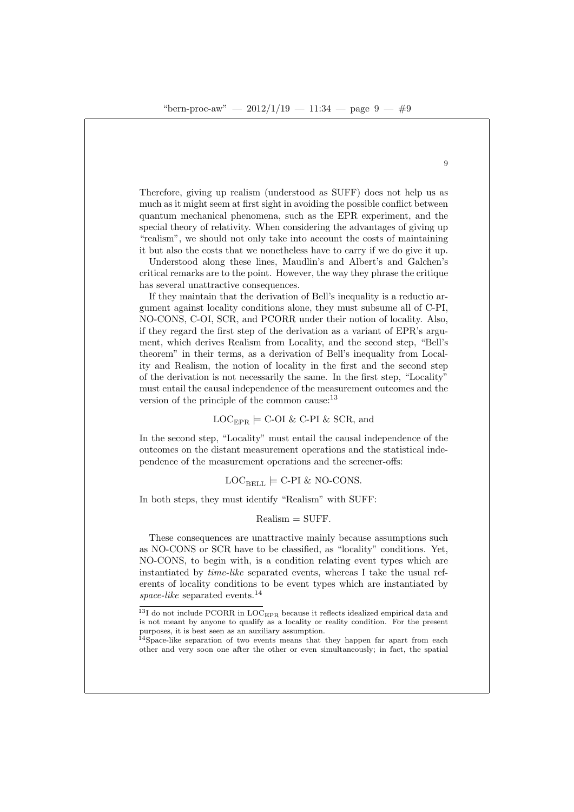Therefore, giving up realism (understood as SUFF) does not help us as much as it might seem at first sight in avoiding the possible conflict between quantum mechanical phenomena, such as the EPR experiment, and the special theory of relativity. When considering the advantages of giving up "realism", we should not only take into account the costs of maintaining it but also the costs that we nonetheless have to carry if we do give it up.

Understood along these lines, Maudlin's and Albert's and Galchen's critical remarks are to the point. However, the way they phrase the critique has several unattractive consequences.

If they maintain that the derivation of Bell's inequality is a reductio argument against locality conditions alone, they must subsume all of C-PI, NO-CONS, C-OI, SCR, and PCORR under their notion of locality. Also, if they regard the first step of the derivation as a variant of EPR's argument, which derives Realism from Locality, and the second step, "Bell's theorem" in their terms, as a derivation of Bell's inequality from Locality and Realism, the notion of locality in the first and the second step of the derivation is not necessarily the same. In the first step, "Locality" must entail the causal independence of the measurement outcomes and the version of the principle of the common cause:<sup>13</sup>

 $LOC_{EPR}$   $\models$  C-OI & C-PI & SCR, and

In the second step, "Locality" must entail the causal independence of the outcomes on the distant measurement operations and the statistical independence of the measurement operations and the screener-offs:

$$
LOC_{BELL} \models C-PI & NO-CONS.
$$

In both steps, they must identify "Realism" with SUFF:

#### $Realism = SUFF.$

These consequences are unattractive mainly because assumptions such as NO-CONS or SCR have to be classified, as "locality" conditions. Yet, NO-CONS, to begin with, is a condition relating event types which are instantiated by time-like separated events, whereas I take the usual referents of locality conditions to be event types which are instantiated by  $space-like$  separated events.<sup>14</sup>

<sup>14</sup>Space-like separation of two events means that they happen far apart from each other and very soon one after the other or even simultaneously; in fact, the spatial

 $\overline{9}$ 

 $^{13}{\rm I}$  do not include PCORR in LOC $_{\rm{EPR}}$  because it reflects idealized empirical data and is not meant by anyone to qualify as a locality or reality condition. For the present purposes, it is best seen as an auxiliary assumption.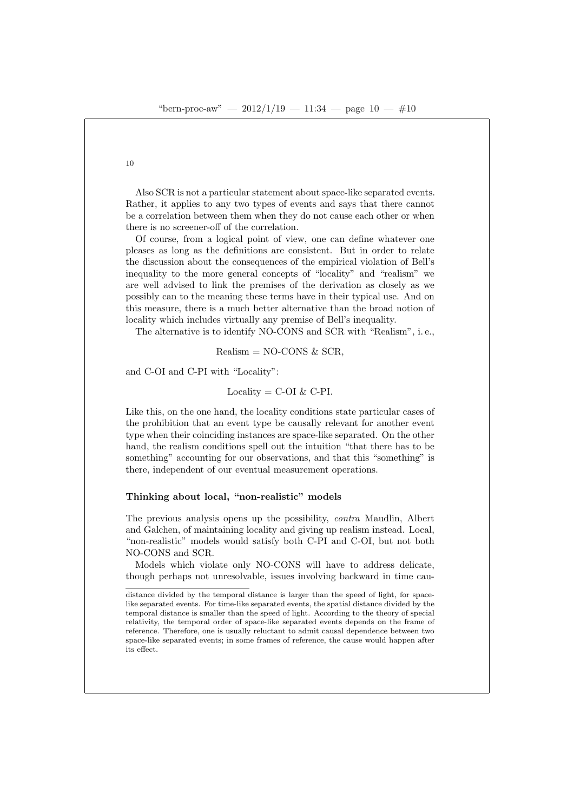Also SCR is not a particular statement about space-like separated events. Rather, it applies to any two types of events and says that there cannot be a correlation between them when they do not cause each other or when there is no screener-off of the correlation.

Of course, from a logical point of view, one can define whatever one pleases as long as the definitions are consistent. But in order to relate the discussion about the consequences of the empirical violation of Bell's inequality to the more general concepts of "locality" and "realism" we are well advised to link the premises of the derivation as closely as we possibly can to the meaning these terms have in their typical use. And on this measure, there is a much better alternative than the broad notion of locality which includes virtually any premise of Bell's inequality.

The alternative is to identify NO-CONS and SCR with "Realism", i. e.,

Realism =  $NO-CONS \& SCR$ ,

and C-OI and C-PI with "Locality":

Locality =  $C$ -OI &  $C$ -PI.

Like this, on the one hand, the locality conditions state particular cases of the prohibition that an event type be causally relevant for another event type when their coinciding instances are space-like separated. On the other hand, the realism conditions spell out the intuition "that there has to be something" accounting for our observations, and that this "something" is there, independent of our eventual measurement operations.

## Thinking about local, "non-realistic" models

The previous analysis opens up the possibility, contra Maudlin, Albert and Galchen, of maintaining locality and giving up realism instead. Local, "non-realistic" models would satisfy both C-PI and C-OI, but not both NO-CONS and SCR.

Models which violate only NO-CONS will have to address delicate, though perhaps not unresolvable, issues involving backward in time cau-

distance divided by the temporal distance is larger than the speed of light, for spacelike separated events. For time-like separated events, the spatial distance divided by the temporal distance is smaller than the speed of light. According to the theory of special relativity, the temporal order of space-like separated events depends on the frame of reference. Therefore, one is usually reluctant to admit causal dependence between two space-like separated events; in some frames of reference, the cause would happen after its effect.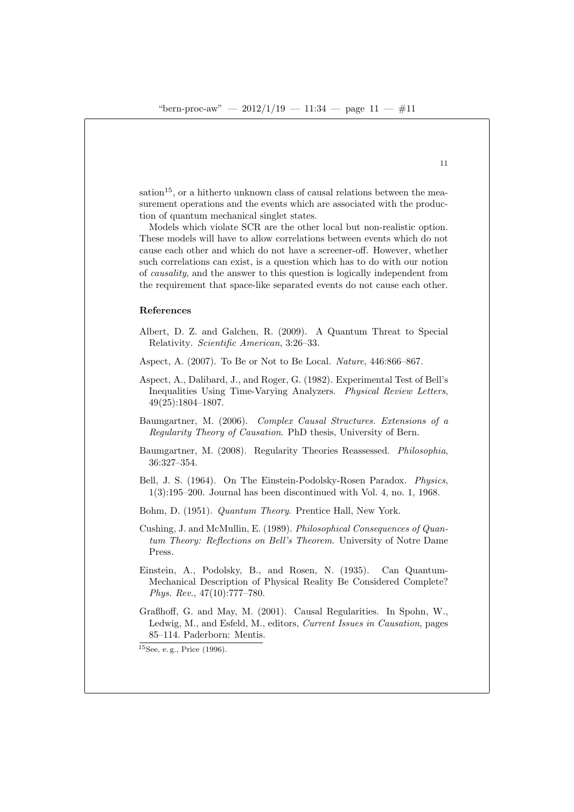$sation<sup>15</sup>$ , or a hitherto unknown class of causal relations between the measurement operations and the events which are associated with the production of quantum mechanical singlet states.

Models which violate SCR are the other local but non-realistic option. These models will have to allow correlations between events which do not cause each other and which do not have a screener-off. However, whether such correlations can exist, is a question which has to do with our notion of causality, and the answer to this question is logically independent from the requirement that space-like separated events do not cause each other.

### References

- Albert, D. Z. and Galchen, R. (2009). A Quantum Threat to Special Relativity. Scientific American, 3:26–33.
- Aspect, A. (2007). To Be or Not to Be Local. Nature, 446:866–867.
- Aspect, A., Dalibard, J., and Roger, G. (1982). Experimental Test of Bell's Inequalities Using Time-Varying Analyzers. Physical Review Letters, 49(25):1804–1807.
- Baumgartner, M. (2006). Complex Causal Structures. Extensions of a Regularity Theory of Causation. PhD thesis, University of Bern.
- Baumgartner, M. (2008). Regularity Theories Reassessed. Philosophia, 36:327–354.
- Bell, J. S. (1964). On The Einstein-Podolsky-Rosen Paradox. Physics, 1(3):195–200. Journal has been discontinued with Vol. 4, no. 1, 1968.
- Bohm, D. (1951). Quantum Theory. Prentice Hall, New York.
- Cushing, J. and McMullin, E. (1989). Philosophical Consequences of Quantum Theory: Reflections on Bell's Theorem. University of Notre Dame Press.
- Einstein, A., Podolsky, B., and Rosen, N. (1935). Can Quantum-Mechanical Description of Physical Reality Be Considered Complete? Phys. Rev., 47(10):777–780.
- Graßhoff, G. and May, M. (2001). Causal Regularities. In Spohn, W., Ledwig, M., and Esfeld, M., editors, Current Issues in Causation, pages 85–114. Paderborn: Mentis.

 $15$ See, e.g., Price (1996).